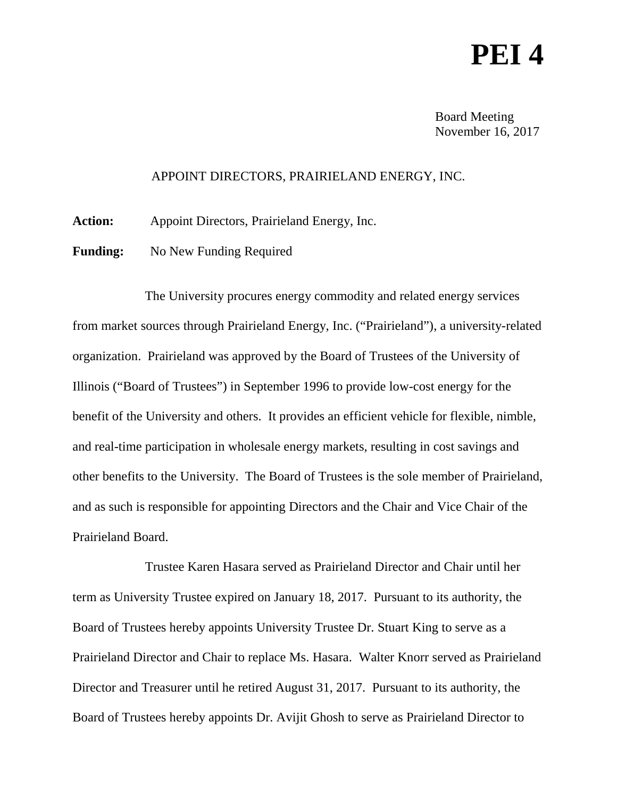## **PEI 4**

Board Meeting November 16, 2017

## APPOINT DIRECTORS, PRAIRIELAND ENERGY, INC.

**Action:** Appoint Directors, Prairieland Energy, Inc.

**Funding:** No New Funding Required

The University procures energy commodity and related energy services from market sources through Prairieland Energy, Inc. ("Prairieland"), a university-related organization. Prairieland was approved by the Board of Trustees of the University of Illinois ("Board of Trustees") in September 1996 to provide low-cost energy for the benefit of the University and others. It provides an efficient vehicle for flexible, nimble, and real-time participation in wholesale energy markets, resulting in cost savings and other benefits to the University. The Board of Trustees is the sole member of Prairieland, and as such is responsible for appointing Directors and the Chair and Vice Chair of the Prairieland Board.

Trustee Karen Hasara served as Prairieland Director and Chair until her term as University Trustee expired on January 18, 2017. Pursuant to its authority, the Board of Trustees hereby appoints University Trustee Dr. Stuart King to serve as a Prairieland Director and Chair to replace Ms. Hasara. Walter Knorr served as Prairieland Director and Treasurer until he retired August 31, 2017. Pursuant to its authority, the Board of Trustees hereby appoints Dr. Avijit Ghosh to serve as Prairieland Director to